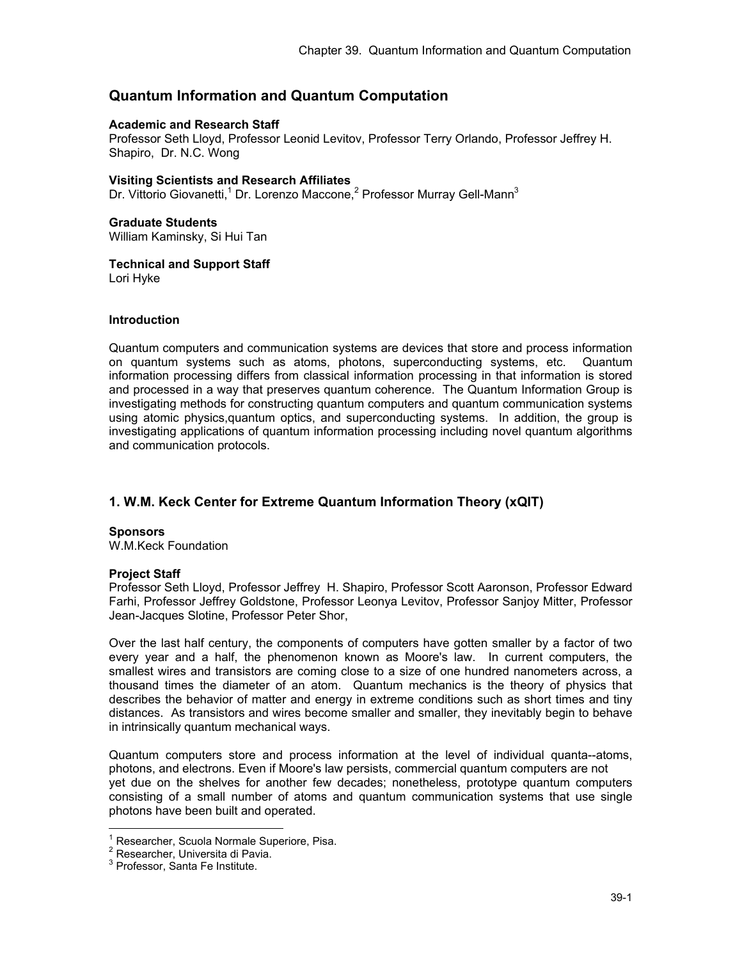# **Quantum Information and Quantum Computation**

#### **Academic and Research Staff**

Professor Seth Lloyd, Professor Leonid Levitov, Professor Terry Orlando, Professor Jeffrey H. Shapiro, Dr. N.C. Wong

## **Visiting Scientists and Research Affiliates**

Dr. Vittorio Giovanetti,<sup>1</sup> Dr. Lorenzo Maccone,<sup>2</sup> Professor Murray Gell-Mann<sup>3</sup>

#### **Graduate Students**

William Kaminsky, Si Hui Tan

## **Technical and Support Staff**

Lori Hyke

#### **Introduction**

Quantum computers and communication systems are devices that store and process information on quantum systems such as atoms, photons, superconducting systems, etc. Quantum information processing differs from classical information processing in that information is stored and processed in a way that preserves quantum coherence. The Quantum Information Group is investigating methods for constructing quantum computers and quantum communication systems using atomic physics,quantum optics, and superconducting systems. In addition, the group is investigating applications of quantum information processing including novel quantum algorithms and communication protocols.

## **1. W.M. Keck Center for Extreme Quantum Information Theory (xQIT)**

#### **Sponsors**

W.M.Keck Foundation

#### **Project Staff**

Professor Seth Lloyd, Professor Jeffrey H. Shapiro, Professor Scott Aaronson, Professor Edward Farhi, Professor Jeffrey Goldstone, Professor Leonya Levitov, Professor Sanjoy Mitter, Professor Jean-Jacques Slotine, Professor Peter Shor,

Over the last half century, the components of computers have gotten smaller by a factor of two every year and a half, the phenomenon known as Moore's law. In current computers, the smallest wires and transistors are coming close to a size of one hundred nanometers across, a thousand times the diameter of an atom. Quantum mechanics is the theory of physics that describes the behavior of matter and energy in extreme conditions such as short times and tiny distances. As transistors and wires become smaller and smaller, they inevitably begin to behave in intrinsically quantum mechanical ways.

Quantum computers store and process information at the level of individual quanta--atoms, photons, and electrons. Even if Moore's law persists, commercial quantum computers are not yet due on the shelves for another few decades; nonetheless, prototype quantum computers consisting of a small number of atoms and quantum communication systems that use single photons have been built and operated.

 $\overline{a}$ 

 $1$  Researcher, Scuola Normale Superiore, Pisa.

<sup>&</sup>lt;sup>2</sup> Researcher, Universita di Pavia.

<sup>3</sup> Professor, Santa Fe Institute.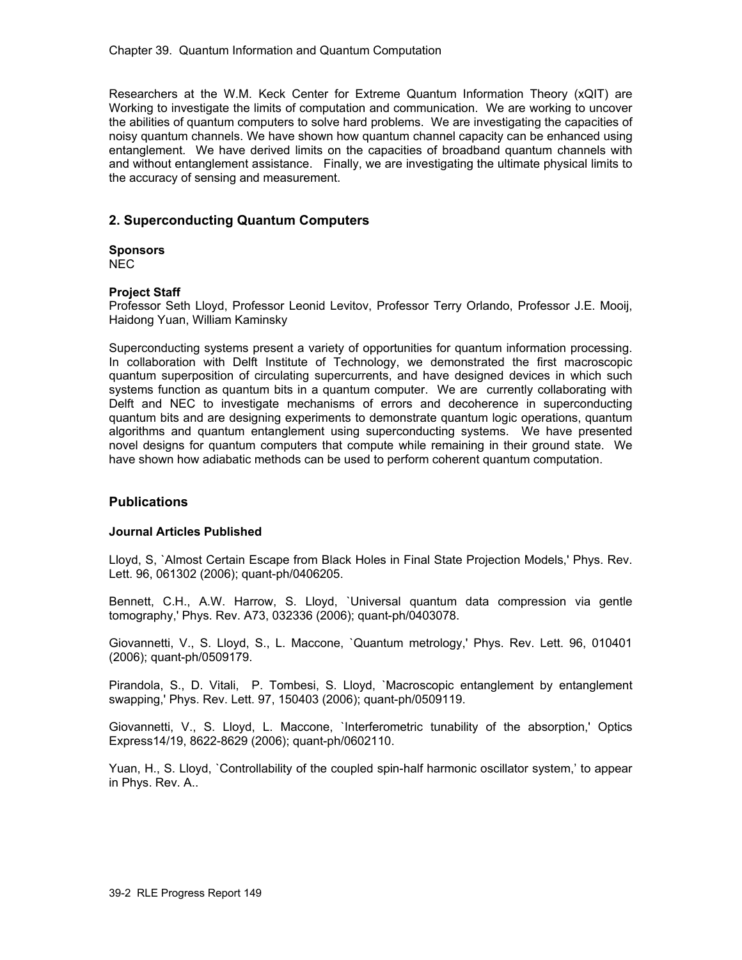Researchers at the W.M. Keck Center for Extreme Quantum Information Theory (xQIT) are Working to investigate the limits of computation and communication. We are working to uncover the abilities of quantum computers to solve hard problems. We are investigating the capacities of noisy quantum channels. We have shown how quantum channel capacity can be enhanced using entanglement. We have derived limits on the capacities of broadband quantum channels with and without entanglement assistance. Finally, we are investigating the ultimate physical limits to the accuracy of sensing and measurement.

## **2. Superconducting Quantum Computers**

## **Sponsors**

NEC

## **Project Staff**

Professor Seth Lloyd, Professor Leonid Levitov, Professor Terry Orlando, Professor J.E. Mooij, Haidong Yuan, William Kaminsky

Superconducting systems present a variety of opportunities for quantum information processing. In collaboration with Delft Institute of Technology, we demonstrated the first macroscopic quantum superposition of circulating supercurrents, and have designed devices in which such systems function as quantum bits in a quantum computer. We are currently collaborating with Delft and NEC to investigate mechanisms of errors and decoherence in superconducting quantum bits and are designing experiments to demonstrate quantum logic operations, quantum algorithms and quantum entanglement using superconducting systems. We have presented novel designs for quantum computers that compute while remaining in their ground state. We have shown how adiabatic methods can be used to perform coherent quantum computation.

## **Publications**

#### **Journal Articles Published**

Lloyd, S, `Almost Certain Escape from Black Holes in Final State Projection Models,' Phys. Rev. Lett. 96, 061302 (2006); quant-ph/0406205.

Bennett, C.H., A.W. Harrow, S. Lloyd, `Universal quantum data compression via gentle tomography,' Phys. Rev. A73, 032336 (2006); quant-ph/0403078.

Giovannetti, V., S. Lloyd, S., L. Maccone, `Quantum metrology,' Phys. Rev. Lett. 96, 010401 (2006); quant-ph/0509179.

Pirandola, S., D. Vitali, P. Tombesi, S. Lloyd, `Macroscopic entanglement by entanglement swapping,' Phys. Rev. Lett. 97, 150403 (2006); quant-ph/0509119.

Giovannetti, V., S. Lloyd, L. Maccone, `Interferometric tunability of the absorption,' Optics Express14/19, 8622-8629 (2006); quant-ph/0602110.

Yuan, H., S. Lloyd, `Controllability of the coupled spin-half harmonic oscillator system,' to appear in Phys. Rev. A..